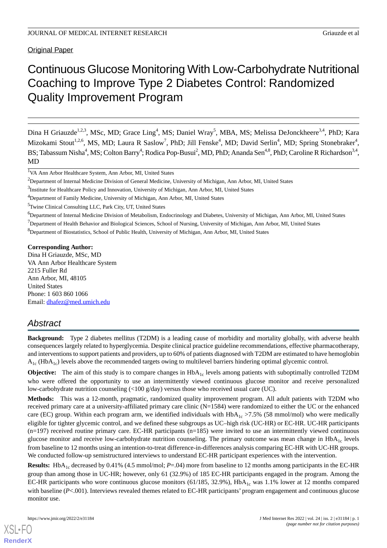Original Paper

# Continuous Glucose Monitoring With Low-Carbohydrate Nutritional Coaching to Improve Type 2 Diabetes Control: Randomized Quality Improvement Program

Dina H Griauzde<sup>1,2,3</sup>, MSc, MD; Grace Ling<sup>4</sup>, MS; Daniel Wray<sup>5</sup>, MBA, MS; Melissa DeJonckheere<sup>3,4</sup>, PhD; Kara Mizokami Stout<sup>1,2,6</sup>, MS, MD; Laura R Saslow<sup>7</sup>, PhD; Jill Fenske<sup>4</sup>, MD; David Serlin<sup>4</sup>, MD; Spring Stonebraker<sup>4</sup>, BS; Tabassum Nisha<sup>4</sup>, MS; Colton Barry<sup>4</sup>; Rodica Pop-Busui<sup>2</sup>, MD, PhD; Ananda Sen<sup>4,8</sup>, PhD; Caroline R Richardson<sup>3,4</sup>, MD

<sup>1</sup>VA Ann Arbor Healthcare System, Ann Arbor, MI, United States

<sup>3</sup>Institute for Healthcare Policy and Innovation, University of Michigan, Ann Arbor, MI, United States

<sup>5</sup>Twine Clinical Consulting LLC, Park City, UT, United States

<sup>6</sup>Department of Internal Medicine Division of Metabolism, Endocrinology and Diabetes, University of Michigan, Ann Arbor, MI, United States

<sup>7</sup>Department of Health Behavior and Biological Sciences, School of Nursing, University of Michigan, Ann Arbor, MI, United States

<sup>8</sup>Department of Biostatistics, School of Public Health, University of Michigan, Ann Arbor, MI, United States

**Corresponding Author:** Dina H Griauzde, MSc, MD VA Ann Arbor Healthcare System 2215 Fuller Rd Ann Arbor, MI, 48105 United States Phone: 1 603 860 1066 Email: [dhafez@med.umich.edu](mailto:dhafez@med.umich.edu)

# *Abstract*

**Background:** Type 2 diabetes mellitus (T2DM) is a leading cause of morbidity and mortality globally, with adverse health consequences largely related to hyperglycemia. Despite clinical practice guideline recommendations, effective pharmacotherapy, and interventions to support patients and providers, up to 60% of patients diagnosed with T2DM are estimated to have hemoglobin  $A_{1c}$  (Hb $A_{1c}$ ) levels above the recommended targets owing to multilevel barriers hindering optimal glycemic control.

**Objective:** The aim of this study is to compare changes in HbA<sub>1c</sub> levels among patients with suboptimally controlled T2DM who were offered the opportunity to use an intermittently viewed continuous glucose monitor and receive personalized low-carbohydrate nutrition counseling (<100 g/day) versus those who received usual care (UC).

**Methods:** This was a 12-month, pragmatic, randomized quality improvement program. All adult patients with T2DM who received primary care at a university-affiliated primary care clinic (N=1584) were randomized to either the UC or the enhanced care (EC) group. Within each program arm, we identified individuals with  $HbA_{1c} > 7.5%$  (58 mmol/mol) who were medically eligible for tighter glycemic control, and we defined these subgroups as UC–high risk (UC-HR) or EC-HR. UC-HR participants  $(n=197)$  received routine primary care. EC-HR participants  $(n=185)$  were invited to use an intermittently viewed continuous glucose monitor and receive low-carbohydrate nutrition counseling. The primary outcome was mean change in  $HbA_{1c}$  levels from baseline to 12 months using an intention-to-treat difference-in-differences analysis comparing EC-HR with UC-HR groups. We conducted follow-up semistructured interviews to understand EC-HR participant experiences with the intervention.

**Results:**  $HbA_{1c}$  decreased by 0.41% (4.5 mmol/mol;  $P = .04$ ) more from baseline to 12 months among participants in the EC-HR group than among those in UC-HR; however, only 61 (32.9%) of 185 EC-HR participants engaged in the program. Among the EC-HR participants who wore continuous glucose monitors (61/185, 32.9%),  $HbA<sub>1c</sub>$  was 1.1% lower at 12 months compared with baseline ( $P$ <.001). Interviews revealed themes related to EC-HR participants' program engagement and continuous glucose monitor use.

<sup>&</sup>lt;sup>2</sup>Department of Internal Medicine Division of General Medicine, University of Michigan, Ann Arbor, MI, United States

<sup>4</sup>Department of Family Medicine, University of Michigan, Ann Arbor, MI, United States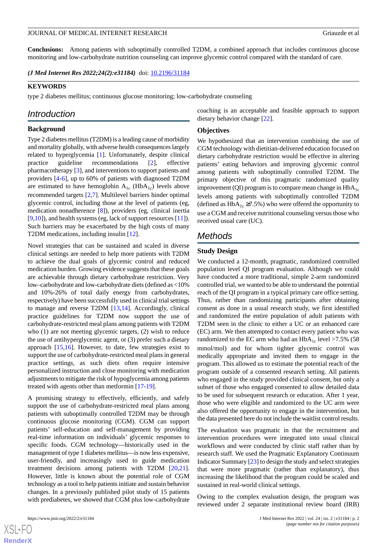**Conclusions:** Among patients with suboptimally controlled T2DM, a combined approach that includes continuous glucose monitoring and low-carbohydrate nutrition counseling can improve glycemic control compared with the standard of care.

*(J Med Internet Res 2022;24(2):e31184)* doi: **[10.2196/31184](http://dx.doi.org/10.2196/31184)** 

#### **KEYWORDS**

type 2 diabetes mellitus; continuous glucose monitoring; low-carbohydrate counseling

## *Introduction*

#### **Background**

Type 2 diabetes mellitus (T2DM) is a leading cause of morbidity and mortality globally, with adverse health consequences largely related to hyperglycemia [[1\]](#page-10-0). Unfortunately, despite clinical practice guideline recommendations [\[2](#page-10-1)], effective pharmacotherapy [\[3](#page-10-2)], and interventions to support patients and providers [[4-](#page-10-3)[6\]](#page-10-4), up to 60% of patients with diagnosed T2DM are estimated to have hemoglobin  $A_{1c}$  (Hb $A_{1c}$ ) levels above recommended targets [\[2](#page-10-1),[7\]](#page-10-5). Multilevel barriers hinder optimal glycemic control, including those at the level of patients (eg, medication nonadherence [[8\]](#page-10-6)), providers (eg, clinical inertia [[9](#page-10-7)[,10](#page-10-8)]), and health systems (eg, lack of support resources [\[11](#page-11-0)]). Such barriers may be exacerbated by the high costs of many T2DM medications, including insulin [[12\]](#page-11-1).

Novel strategies that can be sustained and scaled in diverse clinical settings are needed to help more patients with T2DM to achieve the dual goals of glycemic control and reduced medication burden. Growing evidence suggests that these goals are achievable through dietary carbohydrate restriction. Very low–carbohydrate and low-carbohydrate diets (defined as <10% and 10%-26% of total daily energy from carbohydrates, respectively) have been successfully used in clinical trial settings to manage and reverse T2DM [\[13](#page-11-2),[14\]](#page-11-3). Accordingly, clinical practice guidelines for T2DM now support the use of carbohydrate-restricted meal plans among patients with T2DM who (1) are not meeting glycemic targets, (2) wish to reduce the use of antihyperglycemic agent, or (3) prefer such a dietary approach [\[15](#page-11-4),[16\]](#page-11-5). However, to date, few strategies exist to support the use of carbohydrate-restricted meal plans in general practice settings, as such diets often require intensive personalized instruction and close monitoring with medication adjustments to mitigate the risk of hypoglycemia among patients treated with agents other than metformin [\[17](#page-11-6)-[19\]](#page-11-7).

A promising strategy to effectively, efficiently, and safely support the use of carbohydrate-restricted meal plans among patients with suboptimally controlled T2DM may be through continuous glucose monitoring (CGM). CGM can support patients' self-education and self-management by providing real-time information on individuals' glycemic responses to specific foods. CGM technology—historically used in the management of type 1 diabetes mellitus—is now less expensive, user-friendly, and increasingly used to guide medication treatment decisions among patients with T2DM [\[20](#page-11-8),[21\]](#page-11-9). However, little is known about the potential role of CGM technology as a tool to help patients initiate and sustain behavior changes. In a previously published pilot study of 15 patients with prediabetes, we showed that CGM plus low-carbohydrate

 $XSI - F($ **[RenderX](http://www.renderx.com/)** coaching is an acceptable and feasible approach to support dietary behavior change [\[22](#page-11-10)].

#### **Objectives**

We hypothesized that an intervention combining the use of CGM technology with dietitian-delivered education focused on dietary carbohydrate restriction would be effective in altering patients' eating behaviors and improving glycemic control among patients with suboptimally controlled T2DM. The primary objective of this pragmatic randomized quality improvement (QI) program is to compare mean change in  $HbA_{1c}$ levels among patients with suboptimally controlled T2DM (defined as  $HbA_{1c} \ge 7.5\%$ ) who were offered the opportunity to use a CGM and receive nutritional counseling versus those who received usual care (UC).

## *Methods*

#### **Study Design**

We conducted a 12-month, pragmatic, randomized controlled population level QI program evaluation. Although we could have conducted a more traditional, simple 2-arm randomized controlled trial, we wanted to be able to understand the potential reach of the QI program in a typical primary care office setting. Thus, rather than randomizing participants after obtaining consent as done in a usual research study, we first identified and randomized the entire population of adult patients with T2DM seen in the clinic to either a UC or an enhanced care (EC) arm. We then attempted to contact every patient who was randomized to the EC arm who had an  $HbA_{1c}$  level >7.5% (58 mmol/mol) and for whom tighter glycemic control was medically appropriate and invited them to engage in the program. This allowed us to estimate the potential reach of the program outside of a consented research setting. All patients who engaged in the study provided clinical consent, but only a subset of those who engaged consented to allow detailed data to be used for subsequent research or education. After 1 year, those who were eligible and randomized to the UC arm were also offered the opportunity to engage in the intervention, but the data presented here do not include the waitlist control results.

The evaluation was pragmatic in that the recruitment and intervention procedures were integrated into usual clinical workflows and were conducted by clinic staff rather than by research staff. We used the Pragmatic Explanatory Continuum Indicator Summary [\[23\]](#page-11-11) to design the study and select strategies that were more pragmatic (rather than explanatory), thus increasing the likelihood that the program could be scaled and sustained in real-world clinical settings.

Owing to the complex evaluation design, the program was reviewed under 2 separate institutional review board (IRB)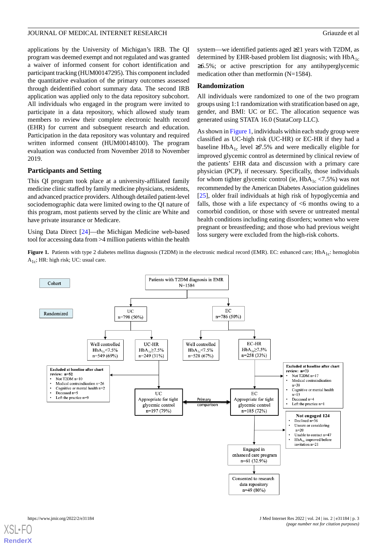applications by the University of Michigan's IRB. The QI program was deemed exempt and not regulated and was granted a waiver of informed consent for cohort identification and participant tracking (HUM00147295). This component included the quantitative evaluation of the primary outcomes assessed through deidentified cohort summary data. The second IRB application was applied only to the data repository subcohort. All individuals who engaged in the program were invited to participate in a data repository, which allowed study team members to review their complete electronic health record (EHR) for current and subsequent research and education. Participation in the data repository was voluntary and required written informed consent (HUM00148100). The program evaluation was conducted from November 2018 to November 2019.

## **Participants and Setting**

This QI program took place at a university-affiliated family medicine clinic staffed by family medicine physicians, residents, and advanced practice providers. Although detailed patient-level sociodemographic data were limited owing to the QI nature of this program, most patients served by the clinic are White and have private insurance or Medicare.

<span id="page-2-0"></span>Using Data Direct [\[24](#page-11-12)]—the Michigan Medicine web-based tool for accessing data from >4 million patients within the health system—we identified patients aged ≥21 years with T2DM, as determined by EHR-based problem list diagnosis; with  $HbA_{1c}$ ≥6.5%; or active prescription for any antihyperglycemic medication other than metformin (N=1584).

#### **Randomization**

All individuals were randomized to one of the two program groups using 1:1 randomization with stratification based on age, gender, and BMI: UC or EC. The allocation sequence was generated using STATA 16.0 (StataCorp LLC).

As shown in [Figure 1,](#page-2-0) individuals within each study group were classified as UC-high risk (UC-HR) or EC-HR if they had a baseline HbA<sub>1c</sub> level ≥7.5% and were medically eligible for improved glycemic control as determined by clinical review of the patients' EHR data and discussion with a primary care physician (PCP), if necessary. Specifically, those individuals for whom tighter glycemic control (ie,  $HbA_{1c} < 7.5\%$ ) was not recommended by the American Diabetes Association guidelines [[25\]](#page-11-13), older frail individuals at high risk of hypoglycemia and falls, those with a life expectancy of  $\leq 6$  months owing to a comorbid condition, or those with severe or untreated mental health conditions including eating disorders; women who were pregnant or breastfeeding; and those who had previous weight loss surgery were excluded from the high-risk cohorts.

Figure 1. Patients with type 2 diabetes mellitus diagnosis (T2DM) in the electronic medical record (EMR). EC: enhanced care; HbA<sub>1c</sub>: hemoglobin  $A_{1c}$ ; HR: high risk; UC: usual care.

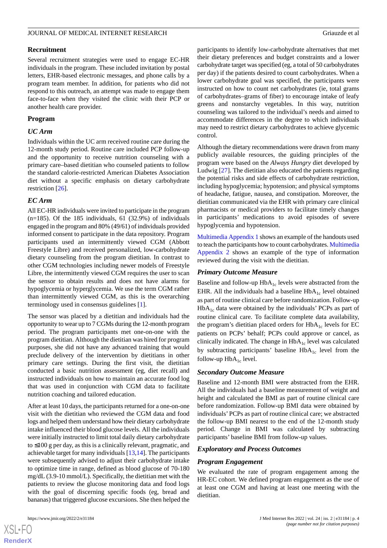### **Recruitment**

Several recruitment strategies were used to engage EC-HR individuals in the program. These included invitation by postal letters, EHR-based electronic messages, and phone calls by a program team member. In addition, for patients who did not respond to this outreach, an attempt was made to engage them face-to-face when they visited the clinic with their PCP or another health care provider.

## **Program**

## *UC Arm*

Individuals within the UC arm received routine care during the 12-month study period. Routine care included PCP follow-up and the opportunity to receive nutrition counseling with a primary care–based dietitian who counseled patients to follow the standard calorie-restricted American Diabetes Association diet without a specific emphasis on dietary carbohydrate restriction [[26\]](#page-11-14).

## *EC Arm*

All EC-HR individuals were invited to participate in the program (n=185). Of the 185 individuals, 61 (32.9%) of individuals engaged in the program and 80% (49/61) of individuals provided informed consent to participate in the data repository. Program participants used an intermittently viewed CGM (Abbott Freestyle Libre) and received personalized, low-carbohydrate dietary counseling from the program dietitian. In contrast to other CGM technologies including newer models of Freestyle Libre, the intermittently viewed CGM requires the user to scan the sensor to obtain results and does not have alarms for hypoglycemia or hyperglycemia. We use the term CGM rather than intermittently viewed CGM, as this is the overarching terminology used in consensus guidelines [\[1](#page-10-0)].

The sensor was placed by a dietitian and individuals had the opportunity to wear up to 7 CGMs during the 12-month program period. The program participants met one-on-one with the program dietitian. Although the dietitian was hired for program purposes, she did not have any advanced training that would preclude delivery of the intervention by dietitians in other primary care settings. During the first visit, the dietitian conducted a basic nutrition assessment (eg, diet recall) and instructed individuals on how to maintain an accurate food log that was used in conjunction with CGM data to facilitate nutrition coaching and tailored education.

After at least 10 days, the participants returned for a one-on-one visit with the dietitian who reviewed the CGM data and food logs and helped them understand how their dietary carbohydrate intake influenced their blood glucose levels. All the individuals were initially instructed to limit total daily dietary carbohydrate to ≤100 g per day, as this is a clinically relevant, pragmatic, and achievable target for many individuals [[13,](#page-11-2)[14](#page-11-3)]. The participants were subsequently advised to adjust their carbohydrate intake to optimize time in range, defined as blood glucose of 70-180 mg/dL (3.9-10 mmol/L). Specifically, the dietitian met with the patients to review the glucose monitoring data and food logs with the goal of discerning specific foods (eg, bread and bananas) that triggered glucose excursions. She then helped the

participants to identify low-carbohydrate alternatives that met their dietary preferences and budget constraints and a lower carbohydrate target was specified (eg, a total of 50 carbohydrates per day) if the patients desired to count carbohydrates. When a lower carbohydrate goal was specified, the participants were instructed on how to count net carbohydrates (ie, total grams of carbohydrates–grams of fiber) to encourage intake of leafy greens and nonstarchy vegetables. In this way, nutrition counseling was tailored to the individual's needs and aimed to accommodate differences in the degree to which individuals may need to restrict dietary carbohydrates to achieve glycemic control.

Although the dietary recommendations were drawn from many publicly available resources, the guiding principles of the program were based on the *Always Hungry* diet developed by Ludwig [\[27](#page-11-15)]. The dietitian also educated the patients regarding the potential risks and side effects of carbohydrate restriction, including hypoglycemia; hypotension; and physical symptoms of headache, fatigue, nausea, and constipation. Moreover, the dietitian communicated via the EHR with primary care clinical pharmacists or medical providers to facilitate timely changes in participants' medications to avoid episodes of severe hypoglycemia and hypotension.

[Multimedia Appendix 1](#page-10-9) shows an example of the handouts used to teach the participants how to count carbohydrates. [Multimedia](#page-10-10) [Appendix 2](#page-10-10) shows an example of the type of information reviewed during the visit with the dietitian.

### *Primary Outcome Measure*

Baseline and follow-up  $HbA_{1c}$  levels were abstracted from the EHR. All the individuals had a baseline  $HbA_{1c}$  level obtained as part of routine clinical care before randomization. Follow-up  $HbA<sub>1c</sub>$  data were obtained by the individuals' PCPs as part of routine clinical care. To facilitate complete data availability, the program's dietitian placed orders for  $HbA_{1c}$  levels for EC patients on PCPs' behalf; PCPs could approve or cancel, as clinically indicated. The change in  $HbA_{1c}$  level was calculated by subtracting participants' baseline  $HbA_{1c}$  level from the follow-up  $HbA_{1c}$  level.

### *Secondary Outcome Measure*

Baseline and 12-month BMI were abstracted from the EHR. All the individuals had a baseline measurement of weight and height and calculated the BMI as part of routine clinical care before randomization. Follow-up BMI data were obtained by individuals'PCPs as part of routine clinical care; we abstracted the follow-up BMI nearest to the end of the 12-month study period. Change in BMI was calculated by subtracting participants' baseline BMI from follow-up values.

### *Exploratory and Process Outcomes*

### *Program Engagement*

We evaluated the rate of program engagement among the HR-EC cohort. We defined program engagement as the use of at least one CGM and having at least one meeting with the dietitian.



 $XS$  $\cdot$ FC **[RenderX](http://www.renderx.com/)**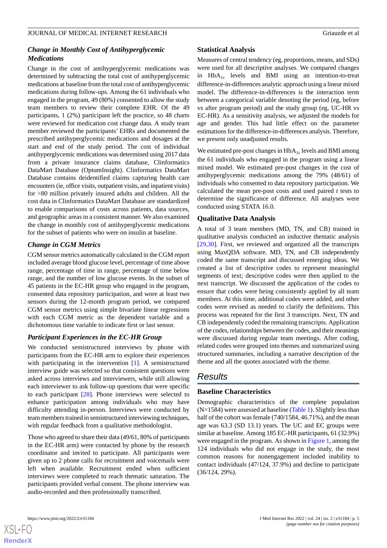## *Change in Monthly Cost of Antihyperglycemic Medications*

Change in the cost of antihyperglycemic medications was determined by subtracting the total cost of antihyperglycemic medications at baseline from the total cost of antihyperglycemic medications during follow-ups. Among the 61 individuals who engaged in the program, 49 (80%) consented to allow the study team members to review their complete EHR. Of the 49 participants, 1 (2%) participant left the practice, so 48 charts were reviewed for medication cost change data. A study team member reviewed the participants' EHRs and documented the prescribed antihyperglycemic medications and dosages at the start and end of the study period. The cost of individual antihyperglycemic medications was determined using 2017 data from a private insurance claims database, Clinformatics DataMart Database (OptumInsight). Clinformatics DataMart Database contains deidentified claims capturing health care encounters (ie, office visits, outpatient visits, and inpatient visits) for >80 million privately insured adults and children. All the cost data in Clinformatics DataMart Database are standardized to enable comparisons of costs across patients, data sources, and geographic areas in a consistent manner. We also examined the change in monthly cost of antihyperglycemic medications for the subset of patients who were on insulin at baseline.

## *Change in CGM Metrics*

CGM sensor metrics automatically calculated in the CGM report included average blood glucose level, percentage of time above range, percentage of time in range, percentage of time below range, and the number of low glucose events. In the subset of 45 patients in the EC-HR group who engaged in the program, consented data repository participation, and wore at least two sensors during the 12-month program period, we compared CGM sensor metrics using simple bivariate linear regressions with each CGM metric as the dependent variable and a dichotomous time variable to indicate first or last sensor.

## *Participant Experiences in the EC-HR Group*

We conducted semistructured interviews by phone with participants from the EC-HR arm to explore their experiences with participating in the intervention [[1](#page-10-0)]. A semistructured interview guide was selected so that consistent questions were asked across interviews and interviewers, while still allowing each interviewer to ask follow-up questions that were specific to each participant [[28\]](#page-11-16). Phone interviews were selected to enhance participation among individuals who may have difficulty attending in-person. Interviews were conducted by team members trained in semistructured interviewing techniques, with regular feedback from a qualitative methodologist.

Those who agreed to share their data (49/61, 80% of participants in the EC-HR arm) were contacted by phone by the research coordinator and invited to participate. All participants were given up to 2 phone calls for recruitment and voicemails were left when available. Recruitment ended when sufficient interviews were completed to reach thematic saturation. The participants provided verbal consent. The phone interview was audio-recorded and then professionally transcribed.

## **Statistical Analysis**

Measures of central tendency (eg, proportions, means, and SDs) were used for all descriptive analyses. We compared changes in  $HbA_{1c}$  levels and BMI using an intention-to-treat difference-in-differences analytic approach using a linear mixed model. The difference-in-differences is the interaction term between a categorical variable denoting the period (eg, before vs after program period) and the study group (eg, UC-HR vs EC-HR). As a sensitivity analysis, we adjusted the models for age and gender. This had little effect on the parameter estimations for the difference-in-differences analysis. Therefore, we present only unadjusted results.

We estimated pre-post changes in  $HbA_{1c}$  levels and BMI among the 61 individuals who engaged in the program using a linear mixed model. We estimated pre-post changes in the cost of antihyperglycemic medications among the 79% (48/61) of individuals who consented to data repository participation. We calculated the mean pre-post costs and used paired *t* tests to determine the significance of difference. All analyses were conducted using STATA 16.0.

## **Qualitative Data Analysis**

A total of 3 team members (MD, TN, and CB) trained in qualitative analysis conducted an inductive thematic analysis [[29,](#page-11-17)[30\]](#page-11-18). First, we reviewed and organized all the transcripts using MaxQDA software. MD, TN, and CB independently coded the same transcript and discussed emerging ideas. We created a list of descriptive codes to represent meaningful segments of text; descriptive codes were then applied to the next transcript. We discussed the application of the codes to ensure that codes were being consistently applied by all team members. At this time, additional codes were added, and other codes were revised as needed to clarify the definitions. This process was repeated for the first 3 transcripts. Next, TN and CB independently coded the remaining transcripts. Application of the codes, relationships between the codes, and their meanings were discussed during regular team meetings. After coding, related codes were grouped into themes and summarized using structured summaries, including a narrative description of the theme and all the quotes associated with the theme.

# *Results*

## **Baseline Characteristics**

Demographic characteristics of the complete population  $(N=1584)$  were assessed at baseline ([Table 1\)](#page-5-0). Slightly less than half of the cohort was female (740/1584, 46.71%), and the mean age was 63.3 (SD 13.1) years. The UC and EC groups were similar at baseline. Among 185 EC-HR participants, 61 (32.9%) were engaged in the program. As shown in [Figure 1,](#page-2-0) among the 124 individuals who did not engage in the study, the most common reasons for nonengagement included inability to contact individuals (47/124, 37.9%) and decline to participate (36/124, 29%).



**[RenderX](http://www.renderx.com/)**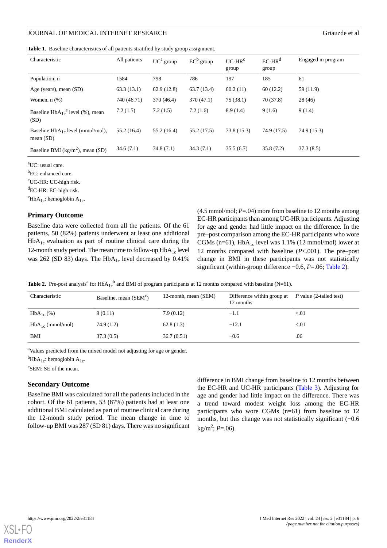## JOURNAL OF MEDICAL INTERNET RESEARCH GRIAUZION CONSUMING STRAINING STRAINING STRAINING STRAINING STRAINING STR

<span id="page-5-0"></span>**Table 1.** Baseline characteristics of all patients stratified by study group assignment.

| Characteristic                                       | All patients | $UC^a$ group | $EC^b$ group | $UC-HRc$<br>group | $EC-HRd$<br>group | Engaged in program |
|------------------------------------------------------|--------------|--------------|--------------|-------------------|-------------------|--------------------|
| Population, n                                        | 1584         | 798          | 786          | 197               | 185               | 61                 |
| Age (years), mean (SD)                               | 63.3(13.1)   | 62.9(12.8)   | 63.7(13.4)   | 60.2(11)          | 60(12.2)          | 59 (11.9)          |
| Women, $n$ $(\%)$                                    | 740 (46.71)  | 370 (46.4)   | 370 (47.1)   | 75(38.1)          | 70(37.8)          | 28(46)             |
| Baseline $HbA_{1c}^e$ level (%), mean<br>(SD)        | 7.2(1.5)     | 7.2(1.5)     | 7.2(1.6)     | 8.9(1.4)          | 9(1.6)            | 9(1.4)             |
| Baseline $HbA_{1c}$ level (mmol/mol),<br>mean $(SD)$ | 55.2(16.4)   | 55.2(16.4)   | 55.2 (17.5)  | 73.8 (15.3)       | 74.9 (17.5)       | 74.9 (15.3)        |
| Baseline BMI ( $\text{kg/m}^2$ ), mean (SD)          | 34.6(7.1)    | 34.8(7.1)    | 34.3(7.1)    | 35.5(6.7)         | 35.8(7.2)         | 37.3(8.5)          |

<sup>a</sup>UC: usual care.

<sup>b</sup>EC: enhanced care.

<sup>c</sup>UC-HR: UC-high risk.

 ${}^{d}$ EC-HR: EC-high risk.

 $e^{\text{HbA}_{1c}}$ : hemoglobin A<sub>1c</sub>.

### **Primary Outcome**

<span id="page-5-1"></span>Baseline data were collected from all the patients. Of the 61 patients, 50 (82%) patients underwent at least one additional  $HbA<sub>1c</sub>$  evaluation as part of routine clinical care during the 12-month study period. The mean time to follow-up  $HbA_{1c}$  level was 262 (SD 83) days. The  $HbA_{1c}$  level decreased by 0.41% (4.5 mmol/mol; *P*=.04) more from baseline to 12 months among EC-HR participants than among UC-HR participants. Adjusting for age and gender had little impact on the difference. In the pre–post comparison among the EC-HR participants who wore CGMs (n=61),  $HbA_{1c}$  level was 1.1% (12 mmol/mol) lower at 12 months compared with baseline (*P*<.001). The pre–post change in BMI in these participants was not statistically significant (within-group difference −0.6, *P*=.06; [Table 2](#page-5-1)).

**Table 2.** Pre-post analysis<sup>a</sup> for  $HbA_{1c}^b$  and BMI of program participants at 12 months compared with baseline (N=61).

| Characteristic        | Baseline, mean (SEM <sup>c</sup> ) | 12-month, mean (SEM) | Difference within group at<br>12 months | <i>P</i> value (2-tailed test) |
|-----------------------|------------------------------------|----------------------|-----------------------------------------|--------------------------------|
| $HbA_{1c}$ (%)        | 9(0.11)                            | 7.9(0.12)            | $-1.1$                                  | < 01                           |
| $HbA_{1c}$ (mmol/mol) | 74.9(1.2)                          | 62.8(1.3)            | $-12.1$                                 | < 01                           |
| BMI                   | 37.3(0.5)                          | 36.7(0.51)           | $-0.6$                                  | .06                            |

<sup>a</sup>Values predicted from the mixed model not adjusting for age or gender.

 ${}^{\text{b}}$ HbA<sub>1c</sub>: hemoglobin A<sub>1c</sub>.

<sup>c</sup>SEM: SE of the mean.

#### **Secondary Outcome**

Baseline BMI was calculated for all the patients included in the cohort. Of the 61 patients, 53 (87%) patients had at least one additional BMI calculated as part of routine clinical care during the 12-month study period. The mean change in time to follow-up BMI was 287 (SD 81) days. There was no significant

difference in BMI change from baseline to 12 months between the EC-HR and UC-HR participants ([Table 3\)](#page-6-0). Adjusting for age and gender had little impact on the difference. There was a trend toward modest weight loss among the EC-HR participants who wore CGMs (n=61) from baseline to 12 months, but this change was not statistically significant (−0.6 kg/m<sup>2</sup> ; *P*=.06).

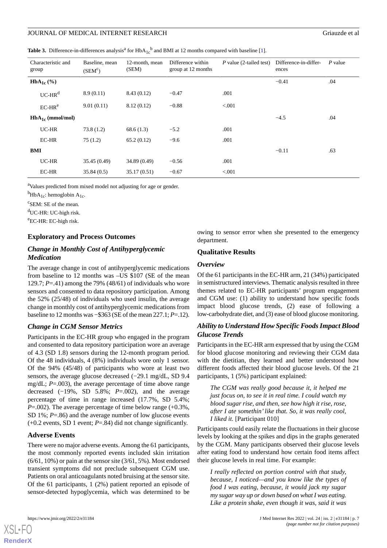## JOURNAL OF MEDICAL INTERNET RESEARCH GRIAUZION CONSUMING STRAINING STRAINING STRAINING STRAINING STRAINING STR

<span id="page-6-0"></span>**Table 3.** Difference-in-differences analysis<sup>a</sup> for  $HbA_{1c}^b$  and BMI at 12 months compared with baseline [\[1](#page-10-0)].

| Characteristic and<br>group | Baseline, mean<br>(SEM <sup>c</sup> ) | 12-month, mean<br>(SEM) | Difference within<br>group at 12 months | $P$ value (2-tailed test) | Difference-in-differ-<br>ences | P value |
|-----------------------------|---------------------------------------|-------------------------|-----------------------------------------|---------------------------|--------------------------------|---------|
| $HbA_{1c}$ (%)              |                                       |                         |                                         |                           | $-0.41$                        | .04     |
| $UC-HRd$                    | 8.9(0.11)                             | 8.43(0.12)              | $-0.47$                                 | .001                      |                                |         |
| $EC-HRe$                    | 9.01(0.11)                            | 8.12(0.12)              | $-0.88$                                 | < 0.001                   |                                |         |
| $HbA_{1c}$ (mmol/mol)       |                                       |                         |                                         |                           | $-4.5$                         | .04     |
| UC-HR                       | 73.8(1.2)                             | 68.6(1.3)               | $-5.2$                                  | .001                      |                                |         |
| EC-HR                       | 75(1.2)                               | 65.2(0.12)              | $-9.6$                                  | .001                      |                                |         |
| BMI                         |                                       |                         |                                         |                           | $-0.11$                        | .63     |
| UC-HR                       | 35.45 (0.49)                          | 34.89 (0.49)            | $-0.56$                                 | .001                      |                                |         |
| EC-HR                       | 35.84(0.5)                            | 35.17(0.51)             | $-0.67$                                 | < 0.001                   |                                |         |

<sup>a</sup>Values predicted from mixed model not adjusting for age or gender.

 ${}^{b}$ HbA<sub>1c</sub>: hemoglobin A<sub>1c</sub>.

<sup>c</sup>SEM: SE of the mean.

<sup>d</sup>UC-HR: UC-high risk.

<sup>e</sup>EC-HR: EC-high risk.

## **Exploratory and Process Outcomes**

## *Change in Monthly Cost of Antihyperglycemic Medication*

The average change in cost of antihyperglycemic medications from baseline to 12 months was –US \$107 (SE of the mean 129.7; *P*=.41) among the 79% (48/61) of individuals who wore sensors and consented to data repository participation. Among the 52% (25/48) of individuals who used insulin, the average change in monthly cost of antihyperglycemic medications from baseline to 12 months was −\$363 (SE of the mean 227.1; *P*=.12).

## *Change in CGM Sensor Metrics*

Participants in the EC-HR group who engaged in the program and consented to data repository participation wore an average of 4.3 (SD 1.8) sensors during the 12-month program period. Of the 48 individuals, 4 (8%) individuals wore only 1 sensor. Of the 94% (45/48) of participants who wore at least two sensors, the average glucose decreased (−29.1 mg/dL, SD 9.4 mg/dL; *P*=.003), the average percentage of time above range decreased (−19%, SD 5.8%; *P*=.002), and the average percentage of time in range increased (17.7%, SD 5.4%; *P*=.002). The average percentage of time below range (+0.3%, SD 1%; *P*=.86) and the average number of low glucose events (+0.2 events, SD 1 event; *P*=.84) did not change significantly.

### **Adverse Events**

There were no major adverse events. Among the 61 participants, the most commonly reported events included skin irritation (6/61, 10%) or pain at the sensor site (3/61, 5%). Most endorsed transient symptoms did not preclude subsequent CGM use. Patients on oral anticoagulants noted bruising at the sensor site. Of the 61 participants, 1 (2%) patient reported an episode of sensor-detected hypoglycemia, which was determined to be

owing to sensor error when she presented to the emergency department.

## **Qualitative Results**

### *Overview*

Of the 61 participants in the EC-HR arm, 21 (34%) participated in semistructured interviews. Thematic analysis resulted in three themes related to EC-HR participants' program engagement and CGM use: (1) ability to understand how specific foods impact blood glucose trends, (2) ease of following a low-carbohydrate diet, and (3) ease of blood glucose monitoring.

## *Ability to Understand How Specific Foods Impact Blood Glucose Trends*

Participants in the EC-HR arm expressed that by using the CGM for blood glucose monitoring and reviewing their CGM data with the dietitian, they learned and better understood how different foods affected their blood glucose levels. Of the 21 participants, 1 (5%) participant explained:

*The CGM was really good because it, it helped me just focus on, to see it in real time. I could watch my blood sugar rise, and then, see how high it rise, rose, after I ate somethin'like that. So, it was really cool, I liked it.* [Participant 010]

Participants could easily relate the fluctuations in their glucose levels by looking at the spikes and dips in the graphs generated by the CGM. Many participants observed their glucose levels after eating food to understand how certain food items affect their glucose levels in real time. For example:

*I really reflected on portion control with that study, because, I noticed—and you know like the types of food I was eating, because, it would jack my sugar my sugar way up or down based on what I was eating. Like a protein shake, even though it was, said it was*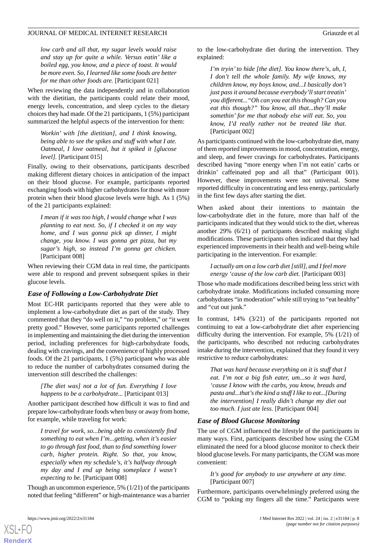*low carb and all that, my sugar levels would raise and stay up for quite a while. Versus eatin' like a boiled egg, you know, and a piece of toast. It would be more even. So, I learned like some foods are better for me than other foods are.* [Participant 021]

When reviewing the data independently and in collaboration with the dietitian, the participants could relate their mood, energy levels, concentration, and sleep cycles to the dietary choices they had made. Of the 21 participants, 1 (5%) participant summarized the helpful aspects of the intervention for them:

*Workin' with [the dietitian], and I think knowing, being able to see the spikes and stuff with what I ate. Oatmeal, I love oatmeal, but it spiked it [glucose level].* [Participant 015]

Finally, owing to their observations, participants described making different dietary choices in anticipation of the impact on their blood glucose. For example, participants reported exchanging foods with higher carbohydrates for those with more protein when their blood glucose levels were high. As 1 (5%) of the 21 participants explained:

*I mean if it was too high, I would change what I was planning to eat next. So, if I checked it on my way home, and I was gonna pick up dinner, I might change, you know. I was gonna get pizza, but my sugar's high, so instead I'm gonna get chicken.* [Participant 008]

When reviewing their CGM data in real time, the participants were able to respond and prevent subsequent spikes in their glucose levels.

### *Ease of Following a Low-Carbohydrate Diet*

Most EC-HR participants reported that they were able to implement a low-carbohydrate diet as part of the study. They commented that they "do well on it," "no problem," or "it went pretty good." However, some participants reported challenges in implementing and maintaining the diet during the intervention period, including preferences for high-carbohydrate foods, dealing with cravings, and the convenience of highly processed foods. Of the 21 participants, 1 (5%) participant who was able to reduce the number of carbohydrates consumed during the intervention still described the challenges:

#### *[The diet was] not a lot of fun. Everything I love happens to be a carbohydrate...* [Participant 013]

Another participant described how difficult it was to find and prepare low-carbohydrate foods when busy or away from home, for example, while traveling for work:

*I travel for work, so...being able to consistently find something to eat when I'm...getting, when it's easier to go through fast food, than to find something lower carb, higher protein. Right. So that, you know, especially when my schedule's, it's halfway through my day and I end up being someplace I wasn't expecting to be.* [Participant 008]

Though an uncommon experience, 5% (1/21) of the participants noted that feeling "different" or high-maintenance was a barrier to the low-carbohydrate diet during the intervention. They explained:

*I'm tryin' to hide [the diet]. You know there's, uh, I, I don't tell the whole family. My wife knows, my children know, my boys know, and...I basically don't just pass it around because everybody'll start treatin' you different..."Oh can you eat this though? Can you eat this though?" You know, all that...they'll make somethin' for me that nobody else will eat. So, you know, I'd really rather not be treated like that.* [Participant 002]

As participants continued with the low-carbohydrate diet, many of them reported improvements in mood, concentration, energy, and sleep, and fewer cravings for carbohydrates. Participants described having "more energy when I'm not eatin' carbs or drinkin' caffeinated pop and all that" (Participant 001). However, these improvements were not universal. Some reported difficulty in concentrating and less energy, particularly in the first few days after starting the diet.

When asked about their intentions to maintain the low-carbohydrate diet in the future, more than half of the participants indicated that they would stick to the diet, whereas another 29% (6/21) of participants described making slight modifications. These participants often indicated that they had experienced improvements in their health and well-being while participating in the intervention. For example:

*I actually am on a low carb diet [still], and I feel more energy 'cause of the low carb diet.* [Participant 003]

Those who made modifications described being less strict with carbohydrate intake. Modifications included consuming more carbohydrates "in moderation" while still trying to "eat healthy" and "cut out junk."

In contrast, 14% (3/21) of the participants reported not continuing to eat a low-carbohydrate diet after experiencing difficulty during the intervention. For example, 5% (1/21) of the participants, who described not reducing carbohydrates intake during the intervention, explained that they found it very restrictive to reduce carbohydrates:

*That was hard because everything on it is stuff that I eat. I'm not a big fish eater, um...so it was hard, 'cause I know with the carbs, you know, breads and pasta and...that's the kind a stuff I like to eat...[During the intervention] I really didn't change my diet out too much. I just ate less.* [Participant 004]

### *Ease of Blood Glucose Monitoring*

The use of CGM influenced the lifestyle of the participants in many ways. First, participants described how using the CGM eliminated the need for a blood glucose monitor to check their blood glucose levels. For many participants, the CGM was more convenient:

*It's good for anybody to use anywhere at any time.* [Participant 007]

Furthermore, participants overwhelmingly preferred using the CGM to "poking my fingers all the time." Participants were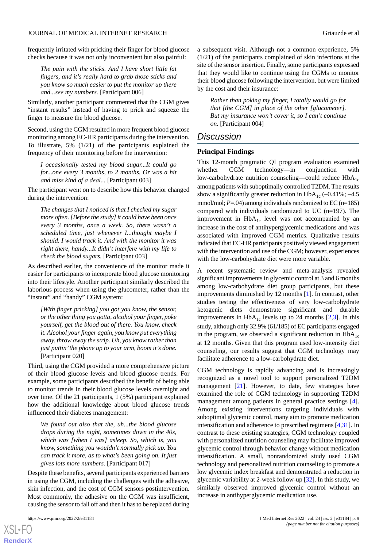frequently irritated with pricking their finger for blood glucose checks because it was not only inconvenient but also painful:

*The pain with the sticks. And I have short little fat fingers, and it's really hard to grab those sticks and you know so much easier to put the monitor up there and...see my numbers.* [Participant 006]

Similarly, another participant commented that the CGM gives "instant results" instead of having to prick and squeeze the finger to measure the blood glucose.

Second, using the CGM resulted in more frequent blood glucose monitoring among EC-HR participants during the intervention. To illustrate, 5% (1/21) of the participants explained the frequency of their monitoring before the intervention:

*I occasionally tested my blood sugar...It could go for...one every 3 months, to 2 months. Or was a hit and miss kind of a deal...* [Participant 003]

The participant went on to describe how this behavior changed during the intervention:

*The changes that I noticed is that I checked my sugar more often. [Before the study] it could have been once every 3 months, once a week. So, there wasn't a scheduled time, just whenever I...thought maybe I should. I would track it. And with the monitor it was right there, handy...It didn't interfere with my life to check the blood sugars.* [Participant 003]

As described earlier, the convenience of the monitor made it easier for participants to incorporate blood glucose monitoring into their lifestyle. Another participant similarly described the laborious process when using the glucometer, rather than the "instant" and "handy" CGM system:

*[With finger pricking] you got you know, the sensor, or the other thing you gotta, alcohol your finger, poke yourself, get the blood out of there. You know, check it. Alcohol your finger again, you know put everything away, throw away the strip. Uh, you know rather than just puttin'the phone up to your arm, boom it's done.* [Participant 020]

Third, using the CGM provided a more comprehensive picture of their blood glucose levels and blood glucose trends. For example, some participants described the benefit of being able to monitor trends in their blood glucose levels overnight and over time. Of the 21 participants, 1 (5%) participant explained how the additional knowledge about blood glucose trends influenced their diabetes management:

*We found out also that the, uh...the blood glucose drops during the night, sometimes down in the 40s, which was [when I was] asleep. So, which is, you know, something you wouldn't normally pick up. You can track it more, as to what's been going on. It just gives lots more numbers.* [Participant 017]

Despite these benefits, several participants experienced barriers in using the CGM, including the challenges with the adhesive, skin infection, and the cost of CGM sensors postintervention. Most commonly, the adhesive on the CGM was insufficient, causing the sensor to fall off and then it has to be replaced during

a subsequent visit. Although not a common experience, 5% (1/21) of the participants complained of skin infections at the site of the sensor insertion. Finally, some participants expressed that they would like to continue using the CGMs to monitor their blood glucose following the intervention, but were limited by the cost and their insurance:

*Rather than poking my finger, I totally would go for that [the CGM] in place of the other [glucometer]. But my insurance won't cover it, so I can't continue on.* [Participant 004]

### *Discussion*

#### **Principal Findings**

This 12-month pragmatic QI program evaluation examined whether CGM technology—in conjunction with low-carbohydrate nutrition counseling—could reduce  $HbA_{1c}$ among patients with suboptimally controlled T2DM. The results show a significantly greater reduction in  $HbA_{1c}$  (–0.41%; –4.5) mmol/mol;  $P = .04$ ) among individuals randomized to EC (n=185) compared with individuals randomized to UC (n=197). The improvement in  $HbA_{1c}$  level was not accompanied by an increase in the cost of antihyperglycemic medications and was associated with improved CGM metrics. Qualitative results indicated that EC-HR participants positively viewed engagement with the intervention and use of the CGM; however, experiences with the low-carbohydrate diet were more variable.

A recent systematic review and meta-analysis revealed significant improvements in glycemic control at 3 and 6 months among low-carbohydrate diet group participants, but these improvements diminished by 12 months [[1\]](#page-10-0). In contrast, other studies testing the effectiveness of very low-carbohydrate ketogenic diets demonstrate significant and durable improvements in  $HbA_{1c}$  levels up to [2](#page-10-1)4 months [2[,3](#page-10-2)]. In this study, although only 32.9% (61/185) of EC participants engaged in the program, we observed a significant reduction in  $HbA_{1c}$ at 12 months. Given that this program used low-intensity diet counseling, our results suggest that CGM technology may facilitate adherence to a low-carbohydrate diet.

CGM technology is rapidly advancing and is increasingly recognized as a novel tool to support personalized T2DM management [\[21](#page-11-9)]. However, to date, few strategies have examined the role of CGM technology in supporting T2DM management among patients in general practice settings [[4\]](#page-10-3). Among existing interventions targeting individuals with suboptimal glycemic control, many aim to promote medication intensification and adherence to prescribed regimens [[4](#page-10-3)[,31](#page-11-19)]. In contrast to these existing strategies, CGM technology coupled with personalized nutrition counseling may facilitate improved glycemic control through behavior change without medication intensification. A small, nonrandomized study used CGM technology and personalized nutrition counseling to promote a low glycemic index breakfast and demonstrated a reduction in glycemic variability at 2-week follow-up [[32\]](#page-11-20). In this study, we similarly observed improved glycemic control without an increase in antihyperglycemic medication use.

```
XSL•FO
RenderX
```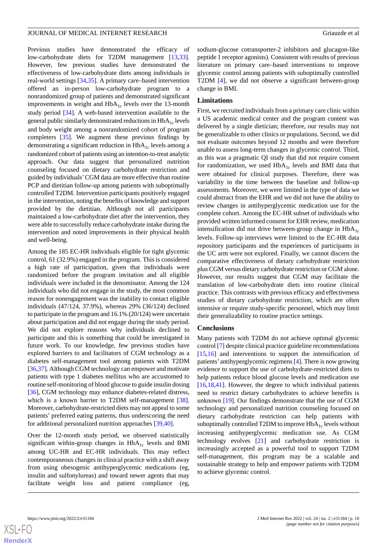Previous studies have demonstrated the efficacy of low-carbohydrate diets for T2DM management [\[13](#page-11-2),[33\]](#page-11-21). However, few previous studies have demonstrated the effectiveness of low-carbohydrate diets among individuals in real-world settings [[34,](#page-11-22)[35](#page-12-0)]. A primary care–based intervention offered an in-person low-carbohydrate program to a nonrandomized group of patients and demonstrated significant improvements in weight and  $HbA<sub>1c</sub>$  levels over the 13-month study period [\[34](#page-11-22)]. A web-based intervention available to the general public similarly demonstrated reductions in  $HbA_{1c}$  levels and body weight among a nonrandomized cohort of program completers [[35\]](#page-12-0). We augment these previous findings by demonstrating a significant reduction in  $HbA_{1c}$  levels among a randomized cohort of patients using an intention-to-treat analytic approach. Our data suggest that personalized nutrition counseling focused on dietary carbohydrate restriction and guided by individuals'CGM data are more effective than routine PCP and dietitian follow-up among patients with suboptimally controlled T2DM. Intervention participants positively engaged in the intervention, noting the benefits of knowledge and support provided by the dietitian. Although not all participants maintained a low-carbohydrate diet after the intervention, they were able to successfully reduce carbohydrate intake during the intervention and noted improvements in their physical health and well-being.

Among the 185 EC-HR individuals eligible for tight glycemic control, 61 (32.9%) engaged in the program. This is considered a high rate of participation, given that individuals were randomized before the program invitation and all eligible individuals were included in the denominator. Among the 124 individuals who did not engage in the study, the most common reason for nonengagement was the inability to contact eligible individuals (47/124, 37.9%), whereas 29% (36/124) declined to participate in the program and 16.1% (20/124) were uncertain about participation and did not engage during the study period. We did not explore reasons why individuals declined to participate and this is something that could be investigated in future work. To our knowledge, few previous studies have explored barriers to and facilitators of CGM technology as a diabetes self-management tool among patients with T2DM [[36](#page-12-1)[,37](#page-12-2)]. Although CGM technology can empower and motivate patients with type 1 diabetes mellitus who are accustomed to routine self-monitoring of blood glucose to guide insulin dosing [[36\]](#page-12-1), CGM technology may enhance diabetes-related distress, which is a known barrier to T2DM self-management [[38\]](#page-12-3). Moreover, carbohydrate-restricted diets may not appeal to some patients' preferred eating patterns, thus underscoring the need for additional personalized nutrition approaches [[39](#page-12-4)[,40](#page-12-5)].

Over the 12-month study period, we observed statistically significant within-group changes in  $HbA_{1c}$  levels and BMI among UC-HR and EC-HR individuals. This may reflect contemporaneous changes in clinical practice with a shift away from using obesogenic antihyperglycemic medications (eg, insulin and sulfonylureas) and toward newer agents that may facilitate weight loss and patient compliance (eg,

sodium-glucose cotransporter-2 inhibitors and glucagon-like peptide 1 receptor agonists). Consistent with results of previous literature on primary care–based interventions to improve glycemic control among patients with suboptimally controlled T2DM [\[4](#page-10-3)], we did not observe a significant between-group change in BMI.

#### **Limitations**

First, we recruited individuals from a primary care clinic within a US academic medical center and the program content was delivered by a single dietician; therefore, our results may not be generalizable to other clinics or populations. Second, we did not evaluate outcomes beyond 12 months and were therefore unable to assess long-term changes in glycemic control. Third, as this was a pragmatic QI study that did not require consent for randomization, we used  $HbA_{1c}$  levels and BMI data that were obtained for clinical purposes. Therefore, there was variability in the time between the baseline and follow-up assessments. Moreover, we were limited in the type of data we could abstract from the EHR and we did not have the ability to review changes in antihyperglycemic medication use for the complete cohort. Among the EC-HR subset of individuals who provided written informed consent for EHR review, medication intensification did not drive between-group change in  $HbA_{1c}$ levels. Follow-up interviews were limited to the EC-HR data repository participants and the experiences of participants in the UC arm were not explored. Finally, we cannot discern the comparative effectiveness of dietary carbohydrate restriction plus CGM versus dietary carbohydrate restriction or CGM alone. However, our results suggest that CGM may facilitate the translation of low-carbohydrate diets into routine clinical practice. This contrasts with previous efficacy and effectiveness studies of dietary carbohydrate restriction, which are often intensive or require study-specific personnel, which may limit their generalizability to routine practice settings.

#### **Conclusions**

Many patients with T2DM do not achieve optimal glycemic control [\[7](#page-10-5)] despite clinical practice guideline recommendations [[15,](#page-11-4)[16\]](#page-11-5) and interventions to support the intensification of patients' antihyperglycemic regimens [\[4](#page-10-3)]. There is now growing evidence to support the use of carbohydrate-restricted diets to help patients reduce blood glucose levels and medication use [[16,](#page-11-5)[18,](#page-11-23)[41\]](#page-12-6). However, the degree to which individual patients need to restrict dietary carbohydrates to achieve benefits is unknown [[19\]](#page-11-7). Our findings demonstrate that the use of CGM technology and personalized nutrition counseling focused on dietary carbohydrate restriction can help patients with suboptimally controlled T2DM to improve  $HbA_{1c}$  levels without increasing antihyperglycemic medication use. As CGM technology evolves [\[21](#page-11-9)] and carbohydrate restriction is increasingly accepted as a powerful tool to support T2DM self-management, this program may be a scalable and sustainable strategy to help and empower patients with T2DM to achieve glycemic control.

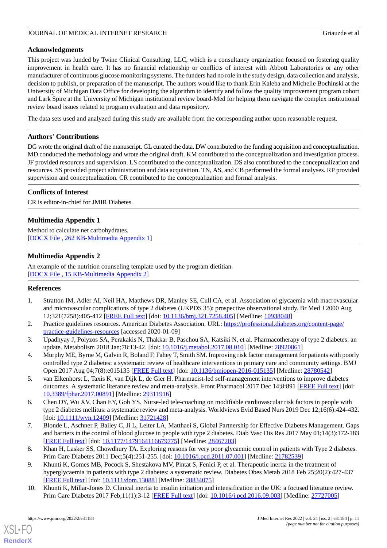## **Acknowledgments**

This project was funded by Twine Clinical Consulting, LLC, which is a consultancy organization focused on fostering quality improvement in health care. It has no financial relationship or conflicts of interest with Abbott Laboratories or any other manufacturer of continuous glucose monitoring systems. The funders had no role in the study design, data collection and analysis, decision to publish, or preparation of the manuscript. The authors would like to thank Erin Kaleba and Michelle Bochinski at the University of Michigan Data Office for developing the algorithm to identify and follow the quality improvement program cohort and Lark Spire at the University of Michigan institutional review board-Med for helping them navigate the complex institutional review board issues related to program evaluation and data repository.

The data sets used and analyzed during this study are available from the corresponding author upon reasonable request.

## **Authors' Contributions**

DG wrote the original draft of the manuscript. GL curated the data. DW contributed to the funding acquisition and conceptualization. MD conducted the methodology and wrote the original draft. KM contributed to the conceptualization and investigation process. JF provided resources and supervision. LS contributed to the conceptualization. DS also contributed to the conceptualization and resources. SS provided project administration and data acquisition. TN, AS, and CB performed the formal analyses. RP provided supervision and conceptualization. CR contributed to the conceptualization and formal analysis.

## **Conflicts of Interest**

<span id="page-10-9"></span>CR is editor-in-chief for JMIR Diabetes.

## **Multimedia Appendix 1**

<span id="page-10-10"></span>Method to calculate net carbohydrates. [[DOCX File , 262 KB-Multimedia Appendix 1\]](https://jmir.org/api/download?alt_name=jmir_v24i2e31184_app1.docx&filename=dfeac524fa40b018dd49f6f2a4830040.docx)

## **Multimedia Appendix 2**

<span id="page-10-0"></span>An example of the nutrition counseling template used by the program dietitian. [[DOCX File , 15 KB](https://jmir.org/api/download?alt_name=jmir_v24i2e31184_app2.docx&filename=97ba5a8c9d2aacf199e3dad45532a275.docx)-[Multimedia Appendix 2\]](https://jmir.org/api/download?alt_name=jmir_v24i2e31184_app2.docx&filename=97ba5a8c9d2aacf199e3dad45532a275.docx)

## <span id="page-10-1"></span>**References**

- <span id="page-10-2"></span>1. Stratton IM, Adler AI, Neil HA, Matthews DR, Manley SE, Cull CA, et al. Association of glycaemia with macrovascular and microvascular complications of type 2 diabetes (UKPDS 35): prospective observational study. Br Med J 2000 Aug 12;321(7258):405-412 [[FREE Full text](http://europepmc.org/abstract/MED/10938048)] [doi: [10.1136/bmj.321.7258.405\]](http://dx.doi.org/10.1136/bmj.321.7258.405) [Medline: [10938048\]](http://www.ncbi.nlm.nih.gov/entrez/query.fcgi?cmd=Retrieve&db=PubMed&list_uids=10938048&dopt=Abstract)
- <span id="page-10-3"></span>2. Practice guidelines resources. American Diabetes Association. URL: [https://professional.diabetes.org/content-page/](https://professional.diabetes.org/content-page/practice-guidelines-resources) [practice-guidelines-resources](https://professional.diabetes.org/content-page/practice-guidelines-resources) [accessed 2020-01-09]
- 3. Upadhyay J, Polyzos SA, Perakakis N, Thakkar B, Paschou SA, Katsiki N, et al. Pharmacotherapy of type 2 diabetes: an update. Metabolism 2018 Jan;78:13-42. [doi: [10.1016/j.metabol.2017.08.010\]](http://dx.doi.org/10.1016/j.metabol.2017.08.010) [Medline: [28920861\]](http://www.ncbi.nlm.nih.gov/entrez/query.fcgi?cmd=Retrieve&db=PubMed&list_uids=28920861&dopt=Abstract)
- <span id="page-10-4"></span>4. Murphy ME, Byrne M, Galvin R, Boland F, Fahey T, Smith SM. Improving risk factor management for patients with poorly controlled type 2 diabetes: a systematic review of healthcare interventions in primary care and community settings. BMJ Open 2017 Aug 04;7(8):e015135 [\[FREE Full text\]](http://bmjopen.bmj.com/cgi/pmidlookup?view=long&pmid=28780542) [doi: [10.1136/bmjopen-2016-015135\]](http://dx.doi.org/10.1136/bmjopen-2016-015135) [Medline: [28780542\]](http://www.ncbi.nlm.nih.gov/entrez/query.fcgi?cmd=Retrieve&db=PubMed&list_uids=28780542&dopt=Abstract)
- <span id="page-10-5"></span>5. van Eikenhorst L, Taxis K, van Dijk L, de Gier H. Pharmacist-led self-management interventions to improve diabetes outcomes. A systematic literature review and meta-analysis. Front Pharmacol 2017 Dec 14;8:891 [[FREE Full text](https://doi.org/10.3389/fphar.2017.00891)] [doi: [10.3389/fphar.2017.00891](http://dx.doi.org/10.3389/fphar.2017.00891)] [Medline: [29311916](http://www.ncbi.nlm.nih.gov/entrez/query.fcgi?cmd=Retrieve&db=PubMed&list_uids=29311916&dopt=Abstract)]
- <span id="page-10-6"></span>6. Chen DY, Wu XV, Chan EY, Goh YS. Nurse-led tele-coaching on modifiable cardiovascular risk factors in people with type 2 diabetes mellitus: a systematic review and meta-analysis. Worldviews Evid Based Nurs 2019 Dec 12;16(6):424-432. [doi: [10.1111/wvn.12409\]](http://dx.doi.org/10.1111/wvn.12409) [Medline: [31721428\]](http://www.ncbi.nlm.nih.gov/entrez/query.fcgi?cmd=Retrieve&db=PubMed&list_uids=31721428&dopt=Abstract)
- <span id="page-10-7"></span>7. Blonde L, Aschner P, Bailey C, Ji L, Leiter LA, Matthaei S, Global Partnership for Effective Diabetes Management. Gaps and barriers in the control of blood glucose in people with type 2 diabetes. Diab Vasc Dis Res 2017 May 01;14(3):172-183 [[FREE Full text](https://journals.sagepub.com/doi/10.1177/1479164116679775?url_ver=Z39.88-2003&rfr_id=ori:rid:crossref.org&rfr_dat=cr_pub%3dpubmed)] [doi: [10.1177/1479164116679775\]](http://dx.doi.org/10.1177/1479164116679775) [Medline: [28467203](http://www.ncbi.nlm.nih.gov/entrez/query.fcgi?cmd=Retrieve&db=PubMed&list_uids=28467203&dopt=Abstract)]
- <span id="page-10-8"></span>8. Khan H, Lasker SS, Chowdhury TA. Exploring reasons for very poor glycaemic control in patients with Type 2 diabetes. Prim Care Diabetes 2011 Dec;5(4):251-255. [doi: [10.1016/j.pcd.2011.07.001](http://dx.doi.org/10.1016/j.pcd.2011.07.001)] [Medline: [21782539](http://www.ncbi.nlm.nih.gov/entrez/query.fcgi?cmd=Retrieve&db=PubMed&list_uids=21782539&dopt=Abstract)]
- 9. Khunti K, Gomes MB, Pocock S, Shestakova MV, Pintat S, Fenici P, et al. Therapeutic inertia in the treatment of hyperglycaemia in patients with type 2 diabetes: a systematic review. Diabetes Obes Metab 2018 Feb 25;20(2):427-437 [[FREE Full text](http://europepmc.org/abstract/MED/28834075)] [doi: [10.1111/dom.13088](http://dx.doi.org/10.1111/dom.13088)] [Medline: [28834075\]](http://www.ncbi.nlm.nih.gov/entrez/query.fcgi?cmd=Retrieve&db=PubMed&list_uids=28834075&dopt=Abstract)
- 10. Khunti K, Millar-Jones D. Clinical inertia to insulin initiation and intensification in the UK: a focused literature review. Prim Care Diabetes 2017 Feb;11(1):3-12 [\[FREE Full text\]](https://linkinghub.elsevier.com/retrieve/pii/S1751-9918(16)30099-7) [doi: [10.1016/j.pcd.2016.09.003](http://dx.doi.org/10.1016/j.pcd.2016.09.003)] [Medline: [27727005](http://www.ncbi.nlm.nih.gov/entrez/query.fcgi?cmd=Retrieve&db=PubMed&list_uids=27727005&dopt=Abstract)]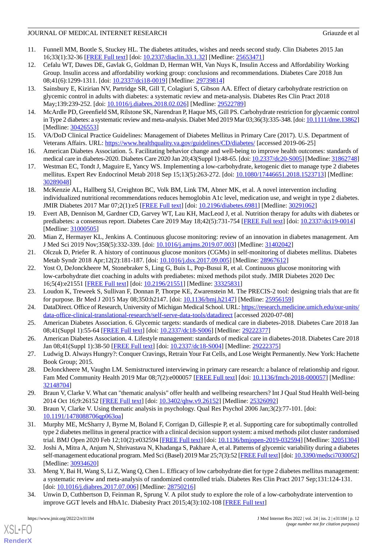- <span id="page-11-0"></span>11. Funnell MM, Bootle S, Stuckey HL. The diabetes attitudes, wishes and needs second study. Clin Diabetes 2015 Jan 16;33(1):32-36 [[FREE Full text](http://europepmc.org/abstract/MED/25653471)] [doi: [10.2337/diaclin.33.1.32\]](http://dx.doi.org/10.2337/diaclin.33.1.32) [Medline: [25653471](http://www.ncbi.nlm.nih.gov/entrez/query.fcgi?cmd=Retrieve&db=PubMed&list_uids=25653471&dopt=Abstract)]
- <span id="page-11-1"></span>12. Cefalu WT, Dawes DE, Gavlak G, Goldman D, Herman WH, Van Nuys K, Insulin Access and Affordability Working Group. Insulin access and affordability working group: conclusions and recommendations. Diabetes Care 2018 Jun 08;41(6):1299-1311. [doi: [10.2337/dci18-0019](http://dx.doi.org/10.2337/dci18-0019)] [Medline: [29739814](http://www.ncbi.nlm.nih.gov/entrez/query.fcgi?cmd=Retrieve&db=PubMed&list_uids=29739814&dopt=Abstract)]
- <span id="page-11-2"></span>13. Sainsbury E, Kizirian NV, Partridge SR, Gill T, Colagiuri S, Gibson AA. Effect of dietary carbohydrate restriction on glycemic control in adults with diabetes: a systematic review and meta-analysis. Diabetes Res Clin Pract 2018 May;139:239-252. [doi: [10.1016/j.diabres.2018.02.026](http://dx.doi.org/10.1016/j.diabres.2018.02.026)] [Medline: [29522789\]](http://www.ncbi.nlm.nih.gov/entrez/query.fcgi?cmd=Retrieve&db=PubMed&list_uids=29522789&dopt=Abstract)
- <span id="page-11-4"></span><span id="page-11-3"></span>14. McArdle PD, Greenfield SM, Rilstone SK, Narendran P, Haque MS, Gill PS. Carbohydrate restriction for glycaemic control in Type 2 diabetes: a systematic review and meta-analysis. Diabet Med 2019 Mar 03;36(3):335-348. [doi: [10.1111/dme.13862\]](http://dx.doi.org/10.1111/dme.13862) [Medline: [30426553](http://www.ncbi.nlm.nih.gov/entrez/query.fcgi?cmd=Retrieve&db=PubMed&list_uids=30426553&dopt=Abstract)]
- <span id="page-11-5"></span>15. VA/DoD Clinical Practice Guidelines: Management of Diabetes Mellitus in Primary Care (2017). U.S. Department of Veterans Affairs. URL: <https://www.healthquality.va.gov/guidelines/CD/diabetes/> [accessed 2019-06-25]
- <span id="page-11-6"></span>16. American Diabetes Association. 5. Facilitating behavior change and well-being to improve health outcomes: standards of medical care in diabetes-2020. Diabetes Care 2020 Jan 20;43(Suppl 1):48-65. [doi: [10.2337/dc20-S005\]](http://dx.doi.org/10.2337/dc20-S005) [Medline: [31862748\]](http://www.ncbi.nlm.nih.gov/entrez/query.fcgi?cmd=Retrieve&db=PubMed&list_uids=31862748&dopt=Abstract)
- <span id="page-11-23"></span>17. Westman EC, Tondt J, Maguire E, Yancy WS. Implementing a low-carbohydrate, ketogenic diet to manage type 2 diabetes mellitus. Expert Rev Endocrinol Metab 2018 Sep 15;13(5):263-272. [doi: [10.1080/17446651.2018.1523713](http://dx.doi.org/10.1080/17446651.2018.1523713)] [Medline: [30289048](http://www.ncbi.nlm.nih.gov/entrez/query.fcgi?cmd=Retrieve&db=PubMed&list_uids=30289048&dopt=Abstract)]
- <span id="page-11-7"></span>18. McKenzie AL, Hallberg SJ, Creighton BC, Volk BM, Link TM, Abner MK, et al. A novel intervention including individualized nutritional recommendations reduces hemoglobin A1c level, medication use, and weight in type 2 diabetes. JMIR Diabetes 2017 Mar 07;2(1):e5 [\[FREE Full text\]](http://diabetes.jmir.org/2017/1/e5/) [doi: [10.2196/diabetes.6981\]](http://dx.doi.org/10.2196/diabetes.6981) [Medline: [30291062](http://www.ncbi.nlm.nih.gov/entrez/query.fcgi?cmd=Retrieve&db=PubMed&list_uids=30291062&dopt=Abstract)]
- <span id="page-11-8"></span>19. Evert AB, Dennison M, Gardner CD, Garvey WT, Lau KH, MacLeod J, et al. Nutrition therapy for adults with diabetes or prediabetes: a consensus report. Diabetes Care 2019 May 18;42(5):731-754 [[FREE Full text](http://europepmc.org/abstract/MED/31000505)] [doi: [10.2337/dci19-0014](http://dx.doi.org/10.2337/dci19-0014)] [Medline: [31000505](http://www.ncbi.nlm.nih.gov/entrez/query.fcgi?cmd=Retrieve&db=PubMed&list_uids=31000505&dopt=Abstract)]
- <span id="page-11-10"></span><span id="page-11-9"></span>20. Mian Z, Hermayer KL, Jenkins A. Continuous glucose monitoring: review of an innovation in diabetes management. Am J Med Sci 2019 Nov;358(5):332-339. [doi: [10.1016/j.amjms.2019.07.003](http://dx.doi.org/10.1016/j.amjms.2019.07.003)] [Medline: [31402042](http://www.ncbi.nlm.nih.gov/entrez/query.fcgi?cmd=Retrieve&db=PubMed&list_uids=31402042&dopt=Abstract)]
- 21. Olczuk D, Priefer R. A history of continuous glucose monitors (CGMs) in self-monitoring of diabetes mellitus. Diabetes Metab Syndr 2018 Apr;12(2):181-187. [doi: [10.1016/j.dsx.2017.09.005\]](http://dx.doi.org/10.1016/j.dsx.2017.09.005) [Medline: [28967612\]](http://www.ncbi.nlm.nih.gov/entrez/query.fcgi?cmd=Retrieve&db=PubMed&list_uids=28967612&dopt=Abstract)
- <span id="page-11-12"></span><span id="page-11-11"></span>22. Yost O, DeJonckheere M, Stonebraker S, Ling G, Buis L, Pop-Busui R, et al. Continuous glucose monitoring with low-carbohydrate diet coaching in adults with prediabetes: mixed methods pilot study. JMIR Diabetes 2020 Dec 16;5(4):e21551 [\[FREE Full text](https://diabetes.jmir.org/2020/4/e21551/)] [doi: [10.2196/21551\]](http://dx.doi.org/10.2196/21551) [Medline: [33325831\]](http://www.ncbi.nlm.nih.gov/entrez/query.fcgi?cmd=Retrieve&db=PubMed&list_uids=33325831&dopt=Abstract)
- <span id="page-11-13"></span>23. Loudon K, Treweek S, Sullivan F, Donnan P, Thorpe KE, Zwarenstein M. The PRECIS-2 tool: designing trials that are fit for purpose. Br Med J 2015 May 08;350:h2147. [doi: [10.1136/bmj.h2147\]](http://dx.doi.org/10.1136/bmj.h2147) [Medline: [25956159](http://www.ncbi.nlm.nih.gov/entrez/query.fcgi?cmd=Retrieve&db=PubMed&list_uids=25956159&dopt=Abstract)]
- <span id="page-11-14"></span>24. DataDirect. Office of Research, University of Michigan Medical School. URL: [https://research.medicine.umich.edu/our-units/](https://research.medicine.umich.edu/our-units/data-office-clinical-translational-research/self-serve-data-tools/datadirect) [data-office-clinical-translational-research/self-serve-data-tools/datadirect](https://research.medicine.umich.edu/our-units/data-office-clinical-translational-research/self-serve-data-tools/datadirect) [accessed 2020-07-08]
- <span id="page-11-15"></span>25. American Diabetes Association. 6. Glycemic targets: standards of medical care in diabetes-2018. Diabetes Care 2018 Jan 08;41(Suppl 1):55-64 [[FREE Full text](https://care-diabetesjournals-org.proxy.lib.umich.edu/content/41/Supplement_1/S55)] [doi: [10.2337/dc18-S006\]](http://dx.doi.org/10.2337/dc18-S006) [Medline: [29222377\]](http://www.ncbi.nlm.nih.gov/entrez/query.fcgi?cmd=Retrieve&db=PubMed&list_uids=29222377&dopt=Abstract)
- <span id="page-11-16"></span>26. American Diabetes Association. 4. Lifestyle management: standards of medical care in diabetes-2018. Diabetes Care 2018 Jan 08;41(Suppl 1):38-50 [[FREE Full text\]](https://care-diabetesjournals-org.proxy.lib.umich.edu/content/41/Supplement_1/S38) [doi: [10.2337/dc18-S004\]](http://dx.doi.org/10.2337/dc18-S004) [Medline: [29222375\]](http://www.ncbi.nlm.nih.gov/entrez/query.fcgi?cmd=Retrieve&db=PubMed&list_uids=29222375&dopt=Abstract)
- <span id="page-11-17"></span>27. Ludwig D. Always Hungry?: Conquer Cravings, Retrain Your Fat Cells, and Lose Weight Permanently. New York: Hachette Book Group; 2015.
- <span id="page-11-18"></span>28. DeJonckheere M, Vaughn LM. Semistructured interviewing in primary care research: a balance of relationship and rigour. Fam Med Community Health 2019 Mar 08;7(2):e000057 [\[FREE Full text\]](https://fmch.bmj.com/lookup/pmidlookup?view=long&pmid=32148704) [doi: [10.1136/fmch-2018-000057](http://dx.doi.org/10.1136/fmch-2018-000057)] [Medline: [32148704](http://www.ncbi.nlm.nih.gov/entrez/query.fcgi?cmd=Retrieve&db=PubMed&list_uids=32148704&dopt=Abstract)]
- <span id="page-11-19"></span>29. Braun V, Clarke V. What can "thematic analysis" offer health and wellbeing researchers? Int J Qual Stud Health Well-being 2014 Oct 16;9:26152 [\[FREE Full text\]](http://europepmc.org/abstract/MED/25326092) [doi:  $10.3402$ /qhw.v9.26152] [Medline: [25326092\]](http://www.ncbi.nlm.nih.gov/entrez/query.fcgi?cmd=Retrieve&db=PubMed&list_uids=25326092&dopt=Abstract)
- <span id="page-11-20"></span>30. Braun V, Clarke V. Using thematic analysis in psychology. Qual Res Psychol 2006 Jan;3(2):77-101. [doi: [10.1191/1478088706qp063oa](http://dx.doi.org/10.1191/1478088706qp063oa)]
- <span id="page-11-21"></span>31. Murphy ME, McSharry J, Byrne M, Boland F, Corrigan D, Gillespie P, et al. Supporting care for suboptimally controlled type 2 diabetes mellitus in general practice with a clinical decision support system: a mixed methods pilot cluster randomised trial. BMJ Open 2020 Feb 12;10(2):e032594 [\[FREE Full text\]](https://bmjopen.bmj.com/lookup/pmidlookup?view=long&pmid=32051304) [doi: [10.1136/bmjopen-2019-032594](http://dx.doi.org/10.1136/bmjopen-2019-032594)] [Medline: [32051304](http://www.ncbi.nlm.nih.gov/entrez/query.fcgi?cmd=Retrieve&db=PubMed&list_uids=32051304&dopt=Abstract)]
- <span id="page-11-22"></span>32. Joshi A, Mitra A, Anjum N, Shrivastava N, Khadanga S, Pakhare A, et al. Patterns of glycemic variability during a diabetes self-management educational program. Med Sci (Basel) 2019 Mar 25;7(3):52 [\[FREE Full text\]](https://www.mdpi.com/resolver?pii=medsci7030052) [doi: [10.3390/medsci7030052](http://dx.doi.org/10.3390/medsci7030052)] [Medline: [30934620](http://www.ncbi.nlm.nih.gov/entrez/query.fcgi?cmd=Retrieve&db=PubMed&list_uids=30934620&dopt=Abstract)]
- 33. Meng Y, Bai H, Wang S, Li Z, Wang Q, Chen L. Efficacy of low carbohydrate diet for type 2 diabetes mellitus management: a systematic review and meta-analysis of randomized controlled trials. Diabetes Res Clin Pract 2017 Sep;131:124-131. [doi: [10.1016/j.diabres.2017.07.006\]](http://dx.doi.org/10.1016/j.diabres.2017.07.006) [Medline: [28750216\]](http://www.ncbi.nlm.nih.gov/entrez/query.fcgi?cmd=Retrieve&db=PubMed&list_uids=28750216&dopt=Abstract)
- 34. Unwin D, Cuthbertson D, Feinman R, Sprung V. A pilot study to explore the role of a low-carbohydrate intervention to improve GGT levels and HbA1c. Diabesity Pract 2015;4(3):102-108 [[FREE Full text](https://static1.squarespace.com/static/52faa95ee4b0b0a74811f732/t/57920fbee58c62884977cf32/1469190079862/2015+David+Unwin+-+A+Pilot+Study+Carbohydrate+GGT+HbA1c.pdf)]